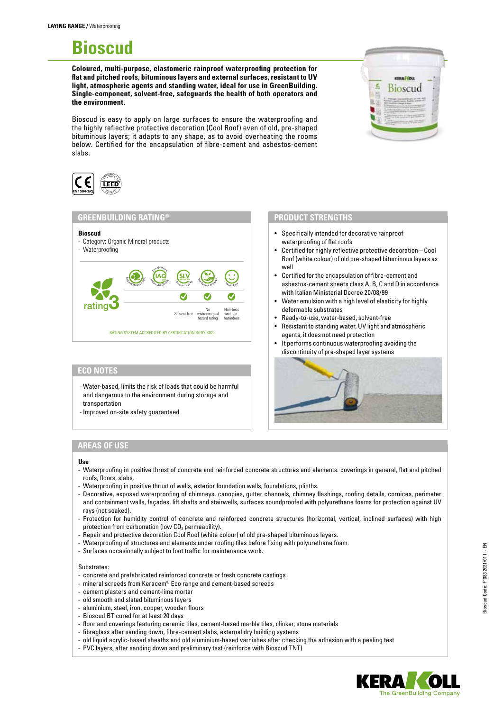# **Bioscud**

**Coloured, multi-purpose, elastomeric rainproof waterproofing protection for flat and pitched roofs, bituminous layers and external surfaces, resistant to UV light, atmospheric agents and standing water, ideal for use in GreenBuilding. Single-component, solvent-free, safeguards the health of both operators and the environment.**

Bioscud is easy to apply on large surfaces to ensure the waterproofing and the highly reflective protective decoration (Cool Roof) even of old, pre-shaped bituminous layers; it adapts to any shape, as to avoid overheating the rooms below. Certified for the encapsulation of fibre-cement and asbestos-cement slabs.



### **GREENBUILDING RATING®**

**Bioscud** Category: Organic Mineral products - Waterproofing RATING SYSTEM ACCREDITED BY CERTIFICATION BODY SGS rating3 Regional Age of 2009  $\left(\underset{\lambda_i\in\mathcal{S}}{\text{IAG}}\right)$ Low Emission  $s_{k_{\text{long}}} \leq 5 \text{ g/s}$  $\text{SLV}$  Reduced Inpact  $\sum_{n=1}^{\infty}$ <sup>H</sup><sup>e</sup>alt<sup>h</sup> <sup>C</sup>ar<sup>e</sup> Solvent-free No environmental hazard rating Non-toxic and non-hazardous

#### **ECO NOTES**

- Water-based, limits the risk of loads that could be harmful and dangerous to the environment during storage and transportation
- Improved on-site safety guaranteed

# **AREAS OF USE**

#### **Use**

- Waterproofing in positive thrust of concrete and reinforced concrete structures and elements: coverings in general, flat and pitched roofs, floors, slabs.
- Waterproofing in positive thrust of walls, exterior foundation walls, foundations, plinths.
- Decorative, exposed waterproofing of chimneys, canopies, gutter channels, chimney flashings, roofing details, cornices, perimeter and containment walls, façades, lift shafts and stairwells, surfaces soundproofed with polyurethane foams for protection against UV rays (not soaked).
- Protection for humidity control of concrete and reinforced concrete structures (horizontal, vertical, inclined surfaces) with high protection from carbonation (low  $CO<sub>2</sub>$  permeability).
- Repair and protective decoration Cool Roof (white colour) of old pre-shaped bituminous layers.
- Waterproofing of structures and elements under roofing tiles before fixing with polyurethane foam.
- Surfaces occasionally subject to foot traffic for maintenance work.

#### Substrates:

- concrete and prefabricated reinforced concrete or fresh concrete castings
- mineral screeds from Keracem® Eco range and cement-based screeds
- cement plasters and cement-lime mortar
- old smooth and slated bituminous layers
- aluminium, steel, iron, copper, wooden floors
- Bioscud BT cured for at least 20 days
- floor and coverings featuring ceramic tiles, cement-based marble tiles, clinker, stone materials
- fibreglass after sanding down, fibre-cement slabs, external dry building systems
- old liquid acrylic-based sheaths and old aluminium-based varnishes after checking the adhesion with a peeling test
- PVC layers, after sanding down and preliminary test (reinforce with Bioscud TNT)



#### **PRODUCT STRENGTHS**

- Specifically intended for decorative rainproof waterproofing of flat roofs
- Certified for highly reflective protective decoration Cool Roof (white colour) of old pre-shaped bituminous layers as well
- Certified for the encapsulation of fibre-cement and asbestos-cement sheets class A, B, C and D in accordance with Italian Ministerial Decree 20/08/99
- Water emulsion with a high level of elasticity for highly deformable substrates
- Ready-to-use, water-based, solvent-free
- Resistant to standing water, UV light and atmospheric agents, it does not need protection
- It performs continuous waterproofing avoiding the discontinuity of pre-shaped layer systems





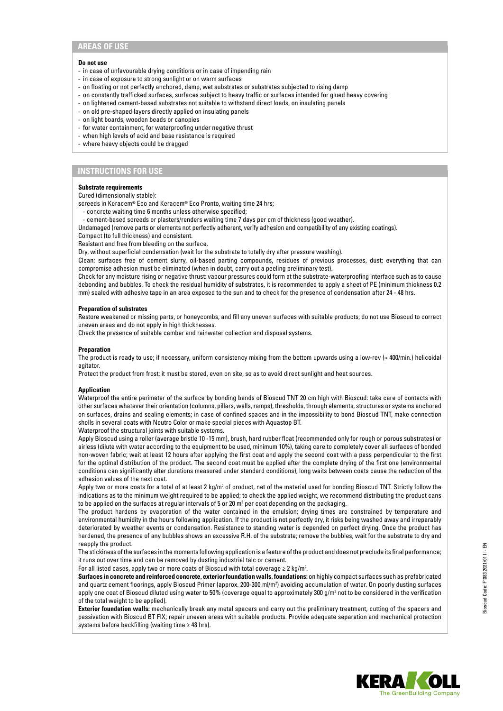## **AREAS OF USE**

#### **Do not use**

- in case of unfavourable drying conditions or in case of impending rain
- in case of exposure to strong sunlight or on warm surfaces
- on floating or not perfectly anchored, damp, wet substrates or substrates subjected to rising damp
- on constantly trafficked surfaces, surfaces subject to heavy traffic or surfaces intended for glued heavy covering
- on lightened cement-based substrates not suitable to withstand direct loads, on insulating panels
- on old pre-shaped layers directly applied on insulating panels
- on light boards, wooden beads or canopies
- for water containment, for waterproofing under negative thrust
- when high levels of acid and base resistance is required
- where heavy objects could be dragged

# **INSTRUCTIONS FOR USE**

#### **Substrate requirements**

Cured (dimensionally stable):

screeds in Keracem® Eco and Keracem® Eco Pronto, waiting time 24 hrs;

- concrete waiting time 6 months unless otherwise specified;
- cement-based screeds or plasters/renders waiting time 7 days per cm of thickness (good weather).

Undamaged (remove parts or elements not perfectly adherent, verify adhesion and compatibility of any existing coatings).

Compact (to full thickness) and consistent.

Resistant and free from bleeding on the surface.

Dry, without superficial condensation (wait for the substrate to totally dry after pressure washing).

Clean: surfaces free of cement slurry, oil-based parting compounds, residues of previous processes, dust; everything that can compromise adhesion must be eliminated (when in doubt, carry out a peeling preliminary test).

Check for any moisture rising or negative thrust: vapour pressures could form at the substrate-waterproofing interface such as to cause debonding and bubbles. To check the residual humidity of substrates, it is recommended to apply a sheet of PE (minimum thickness 0.2 mm) sealed with adhesive tape in an area exposed to the sun and to check for the presence of condensation after 24 - 48 hrs.

#### **Preparation of substrates**

Restore weakened or missing parts, or honeycombs, and fill any uneven surfaces with suitable products; do not use Bioscud to correct uneven areas and do not apply in high thicknesses.

Check the presence of suitable camber and rainwater collection and disposal systems.

#### **Preparation**

The product is ready to use; if necessary, uniform consistency mixing from the bottom upwards using a low-rev (≈ 400/min.) helicoidal agitator.

Protect the product from frost; it must be stored, even on site, so as to avoid direct sunlight and heat sources.

#### **Application**

Waterproof the entire perimeter of the surface by bonding bands of Bioscud TNT 20 cm high with Bioscud: take care of contacts with other surfaces whatever their orientation (columns, pillars, walls, ramps), thresholds, through elements, structures or systems anchored on surfaces, drains and sealing elements; in case of confined spaces and in the impossibility to bond Bioscud TNT, make connection shells in several coats with Neutro Color or make special pieces with Aquastop BT.

Waterproof the structural joints with suitable systems.

Apply Bioscud using a roller (average bristle 10 -15 mm), brush, hard rubber float (recommended only for rough or porous substrates) or airless (dilute with water according to the equipment to be used, minimum 10%), taking care to completely cover all surfaces of bonded non-woven fabric; wait at least 12 hours after applying the first coat and apply the second coat with a pass perpendicular to the first for the optimal distribution of the product. The second coat must be applied after the complete drying of the first one (environmental conditions can significantly alter durations measured under standard conditions); long waits between coats cause the reduction of the adhesion values of the next coat.

Apply two or more coats for a total of at least 2 kg/m<sup>2</sup> of product, net of the material used for bonding Bioscud TNT. Strictly follow the indications as to the minimum weight required to be applied; to check the applied weight, we recommend distributing the product cans to be applied on the surfaces at regular intervals of 5 or 20 m<sup>2</sup> per coat depending on the packaging.

The product hardens by evaporation of the water contained in the emulsion; drying times are constrained by temperature and environmental humidity in the hours following application. If the product is not perfectly dry, it risks being washed away and irreparably deteriorated by weather events or condensation. Resistance to standing water is depended on perfect drying. Once the product has hardened, the presence of any bubbles shows an excessive R.H. of the substrate; remove the bubbles, wait for the substrate to dry and reapply the product.

The stickiness of the surfaces in the moments following application is a feature of the product and does not preclude its final performance; it runs out over time and can be removed by dusting industrial talc or cement.

For all listed cases, apply two or more coats of Bioscud with total coverage  $\geq 2$  kg/m<sup>2</sup>.

**Surfaces in concrete and reinforced concrete, exterior foundation walls, foundations:** on highly compact surfaces such as prefabricated and quartz cement floorings, apply Bioscud Primer (approx. 200-300 ml/m2 ) avoiding accumulation of water. On poorly dusting surfaces apply one coat of Bioscud diluted using water to 50% (coverage equal to approximately 300  $g/m^2$  not to be considered in the verification of the total weight to be applied).

**Exterior foundation walls:** mechanically break any metal spacers and carry out the preliminary treatment, cutting of the spacers and passivation with Bioscud BT FIX; repair uneven areas with suitable products. Provide adequate separation and mechanical protection systems before backfilling (waiting time ≥ 48 hrs).

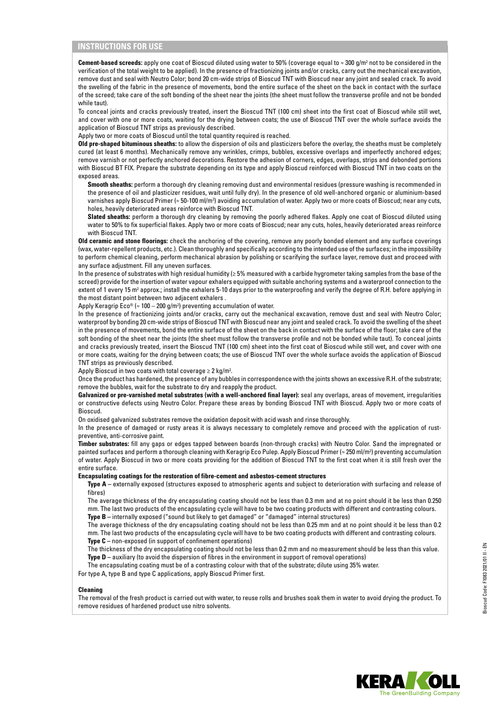# **INSTRUCTIONS FOR USE**

**Cement-based screeds:** apply one coat of Bioscud diluted using water to 50% (coverage equal to ≈ 300 g/m<sup>2</sup> not to be considered in the verification of the total weight to be applied). In the presence of fractionizing joints and/or cracks, carry out the mechanical excavation, remove dust and seal with Neutro Color; bond 20 cm-wide strips of Bioscud TNT with Bioscud near any joint and sealed crack. To avoid the swelling of the fabric in the presence of movements, bond the entire surface of the sheet on the back in contact with the surface of the screed; take care of the soft bonding of the sheet near the joints (the sheet must follow the transverse profile and not be bonded while taut).

To conceal joints and cracks previously treated, insert the Bioscud TNT (100 cm) sheet into the first coat of Bioscud while still wet, and cover with one or more coats, waiting for the drying between coats; the use of Bioscud TNT over the whole surface avoids the application of Bioscud TNT strips as previously described.

Apply two or more coats of Bioscud until the total quantity required is reached.

**Old pre-shaped bituminous sheaths:** to allow the dispersion of oils and plasticizers before the overlay, the sheaths must be completely cured (at least 6 months). Mechanically remove any wrinkles, crimps, bubbles, excessive overlaps and imperfectly anchored edges; remove varnish or not perfectly anchored decorations. Restore the adhesion of corners, edges, overlaps, strips and debonded portions with Bioscud BT FIX. Prepare the substrate depending on its type and apply Bioscud reinforced with Bioscud TNT in two coats on the exposed areas.

**Smooth sheaths:** perform a thorough dry cleaning removing dust and environmental residues (pressure washing is recommended in the presence of oil and plasticizer residues, wait until fully dry). In the presence of old well-anchored organic or aluminium-based varnishes apply Bioscud Primer (≈ 50-100 ml/m²) avoiding accumulation of water. Apply two or more coats of Bioscud; near any cuts, holes, heavily deteriorated areas reinforce with Bioscud TNT.

**Slated sheaths:** perform a thorough dry cleaning by removing the poorly adhered flakes. Apply one coat of Bioscud diluted using water to 50% to fix superficial flakes. Apply two or more coats of Bioscud; near any cuts, holes, heavily deteriorated areas reinforce with Bioscud TNT.

**Old ceramic and stone floorings:** check the anchoring of the covering, remove any poorly bonded element and any surface coverings (wax, water-repellent products, etc.). Clean thoroughly and specifically according to the intended use of the surfaces; in the impossibility to perform chemical cleaning, perform mechanical abrasion by polishing or scarifying the surface layer, remove dust and proceed with any surface adjustment. Fill any uneven surfaces.

In the presence of substrates with high residual humidity (≥ 5% measured with a carbide hygrometer taking samples from the base of the screed) provide for the insertion of water vapour exhalers equipped with suitable anchoring systems and a waterproof connection to the extent of 1 every 15 m<sup>2</sup> approx.; install the exhalers 5-10 days prior to the waterproofing and verify the degree of R.H. before applying in the most distant point between two adjacent exhalers .

Apply Keragrip Eco® (≈ 100 – 200 g/m²) preventing accumulation of water.

In the presence of fractionizing joints and/or cracks, carry out the mechanical excavation, remove dust and seal with Neutro Color; waterproof by bonding 20 cm-wide strips of Bioscud TNT with Bioscud near any joint and sealed crack. To avoid the swelling of the sheet in the presence of movements, bond the entire surface of the sheet on the back in contact with the surface of the floor; take care of the soft bonding of the sheet near the joints (the sheet must follow the transverse profile and not be bonded while taut). To conceal joints and cracks previously treated, insert the Bioscud TNT (100 cm) sheet into the first coat of Bioscud while still wet, and cover with one or more coats, waiting for the drying between coats; the use of Bioscud TNT over the whole surface avoids the application of Bioscud TNT strips as previously described.

Apply Bioscud in two coats with total coverage  $\geq 2$  kg/m<sup>2</sup>.

Once the product has hardened, the presence of any bubbles in correspondence with the joints shows an excessive R.H. of the substrate; remove the bubbles, wait for the substrate to dry and reapply the product.

Galvanized or pre-varnished metal substrates (with a well-anchored final layer): seal any overlaps, areas of movement, irregularities or constructive defects using Neutro Color. Prepare these areas by bonding Bioscud TNT with Bioscud. Apply two or more coats of Bioscud.

On oxidised galvanized substrates remove the oxidation deposit with acid wash and rinse thoroughly.

In the presence of damaged or rusty areas it is always necessary to completely remove and proceed with the application of rustpreventive, anti-corrosive paint.

**Timber substrates:** fill any gaps or edges tapped between boards (non-through cracks) with Neutro Color. Sand the impregnated or painted surfaces and perform a thorough cleaning with Keragrip Eco Pulep. Apply Bioscud Primer (≈ 250 ml/m²) preventing accumulation of water. Apply Bioscud in two or more coats providing for the addition of Bioscud TNT to the first coat when it is still fresh over the entire surface.

#### **Encapsulating coatings for the restoration of fibre-cement and asbestos-cement structures**

**Type A –** externally exposed (structures exposed to atmospheric agents and subject to deterioration with surfacing and release of fibres)

The average thickness of the dry encapsulating coating should not be less than 0.3 mm and at no point should it be less than 0.250 mm. The last two products of the encapsulating cycle will have to be two coating products with different and contrasting colours. **Type B –** internally exposed ("sound but likely to get damaged" or "damaged" internal structures)

The average thickness of the dry encapsulating coating should not be less than 0.25 mm and at no point should it be less than 0.2 mm. The last two products of the encapsulating cycle will have to be two coating products with different and contrasting colours. **Type C –** non-exposed (in support of confinement operations)

The thickness of the dry encapsulating coating should not be less than 0.2 mm and no measurement should be less than this value. **Type D** – auxiliary (to avoid the dispersion of fibres in the environment in support of removal operations)

The encapsulating coating must be of a contrasting colour with that of the substrate; dilute using 35% water.

For type A, type B and type C applications, apply Bioscud Primer first.

#### **Cleaning**

The removal of the fresh product is carried out with water, to reuse rolls and brushes soak them in water to avoid drying the product. To remove residues of hardened product use nitro solvents.

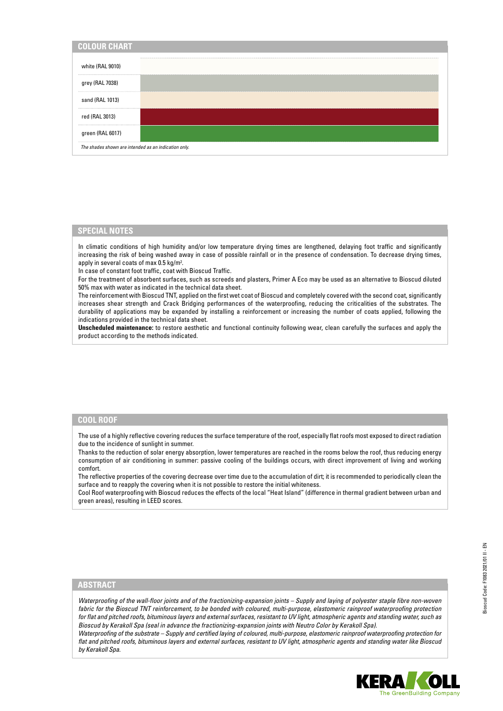| <b>COLOUR CHART</b>                                  |  |
|------------------------------------------------------|--|
| white (RAL 9010)                                     |  |
| grey (RAL 7038)                                      |  |
| sand (RAL 1013)                                      |  |
| red (RAL 3013)                                       |  |
| green (RAL 6017)                                     |  |
| The shades shown are intended as an indication only. |  |

#### **SPECIAL NOTES**

In climatic conditions of high humidity and/or low temperature drying times are lengthened, delaying foot traffic and significantly increasing the risk of being washed away in case of possible rainfall or in the presence of condensation. To decrease drying times, apply in several coats of max 0.5 kg/m<sup>2</sup>.

In case of constant foot traffic, coat with Bioscud Traffic.

For the treatment of absorbent surfaces, such as screeds and plasters, Primer A Eco may be used as an alternative to Bioscud diluted 50% max with water as indicated in the technical data sheet.

The reinforcement with Bioscud TNT, applied on the first wet coat of Bioscud and completely covered with the second coat, significantly increases shear strength and Crack Bridging performances of the waterproofing, reducing the criticalities of the substrates. The durability of applications may be expanded by installing a reinforcement or increasing the number of coats applied, following the indications provided in the technical data sheet.

**Unscheduled maintenance:** to restore aesthetic and functional continuity following wear, clean carefully the surfaces and apply the product according to the methods indicated.

#### **COOL ROOF**

The use of a highly reflective covering reduces the surface temperature of the roof, especially flat roofs most exposed to direct radiation due to the incidence of sunlight in summer.

Thanks to the reduction of solar energy absorption, lower temperatures are reached in the rooms below the roof, thus reducing energy consumption of air conditioning in summer: passive cooling of the buildings occurs, with direct improvement of living and working comfort.

The reflective properties of the covering decrease over time due to the accumulation of dirt; it is recommended to periodically clean the surface and to reapply the covering when it is not possible to restore the initial whiteness.

Cool Roof waterproofing with Bioscud reduces the effects of the local "Heat Island" (difference in thermal gradient between urban and green areas), resulting in LEED scores.

### **ABSTRACT**

*Waterproofing of the wall-floor joints and of the fractionizing-expansion joints – Supply and laying of polyester staple fibre non-woven fabric for the Bioscud TNT reinforcement, to be bonded with coloured, multi-purpose, elastomeric rainproof waterproofing protection for flat and pitched roofs, bituminous layers and external surfaces, resistant to UV light, atmospheric agents and standing water, such as Bioscud by Kerakoll Spa (seal in advance the fractionizing-expansion joints with Neutro Color by Kerakoll Spa).*

*Waterproofing of the substrate – Supply and certified laying of coloured, multi-purpose, elastomeric rainproof waterproofing protection for flat and pitched roofs, bituminous layers and external surfaces, resistant to UV light, atmospheric agents and standing water like Bioscud by Kerakoll Spa.*

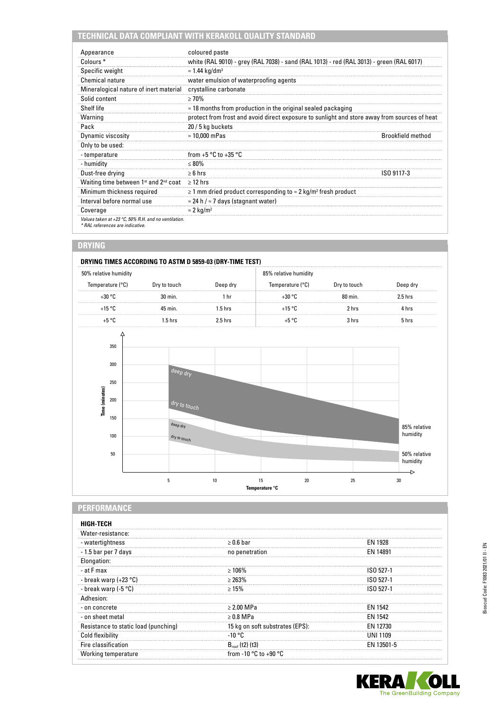# **TECHNICAL DATA COMPLIANT WITH KERAKOLL QUALITY STANDARD**

| Appearance                                                                               | coloured paste                                                                               |                          |  |
|------------------------------------------------------------------------------------------|----------------------------------------------------------------------------------------------|--------------------------|--|
| Colours <sup>*</sup>                                                                     | white (RAL 9010) - grey (RAL 7038) - sand (RAL 1013) - red (RAL 3013) - green (RAL 6017)     |                          |  |
| Specific weight                                                                          | $\approx$ 1.44 kg/dm <sup>3</sup>                                                            |                          |  |
| <b>Chemical nature</b>                                                                   | water emulsion of waterproofing agents                                                       |                          |  |
| Mineralogical nature of inert material                                                   | crystalline carbonate                                                                        |                          |  |
| Solid content                                                                            | >70%                                                                                         |                          |  |
| Shelf life                                                                               | $\approx$ 18 months from production in the original sealed packaging                         |                          |  |
| Warning                                                                                  | protect from frost and avoid direct exposure to sunlight and store away from sources of heat |                          |  |
| Pack                                                                                     | 20 / 5 kg buckets                                                                            |                          |  |
| Dynamic viscosity                                                                        | $\approx$ 10.000 mPas                                                                        | <b>Brookfield method</b> |  |
| Only to be used:                                                                         |                                                                                              |                          |  |
| - temperature                                                                            | from $+5$ °C to $+35$ °C                                                                     |                          |  |
| - humidity                                                                               | $\leq 80\%$                                                                                  |                          |  |
| Dust-free drying                                                                         | $\geq 6$ hrs                                                                                 | ISO 9117-3               |  |
| Waiting time between 1 <sup>st</sup> and 2 <sup>nd</sup> coat                            | $\geq$ 12 hrs                                                                                |                          |  |
| Minimum thickness required                                                               | $\geq$ 1 mm dried product corresponding to $\approx$ 2 kg/m <sup>2</sup> fresh product       |                          |  |
| Interval before normal use                                                               | $\approx$ 24 h / $\approx$ 7 days (stagnant water)                                           |                          |  |
| Coverage                                                                                 | $\approx$ 2 kg/m <sup>2</sup>                                                                |                          |  |
| Values taken at +23 °C, 50% R.H. and no ventilation.<br>* RAL references are indicative. |                                                                                              |                          |  |

# **DRYING**

#### **DRYING TIMES ACCORDING TO ASTM D 5859-03 (DRY-TIME TEST)** 50% relative humidity 85% relative humidity Temperature (°C) Dry to touch Deep dry Temperature (°C) Dry to touch Deep dry +30 °C 30 min. 1 hr +30 °C 80 min. 2.5 hrs +15 °C 45 min. 1.5 hrs +15 °C 2 hrs 4 hrs +5 °C 1.5 hrs 2.5 hrs +5 °C 3 hrs 5 hrs  $\angle$ 350 300 <sup>d</sup>ee<sup>p</sup> <sup>d</sup>r<sup>y</sup> 250 Time (minutes) **Time (minutes)** Time (minute 200 dry to touch 150 <sup>d</sup>ee<sup>p</sup> <sup>d</sup>r<sup>y</sup> 85% relative humidity 100 <sup>d</sup>r<sup>y</sup> <sup>t</sup><sup>o</sup> <sup>t</sup>ouc<sup>h</sup> 50 50% relative humidity  $\rightarrow$ 5 10 15 20 25 30 **Temperatura °C Temperature °C**

# **PERFORMANCE**

| HIGH-TECH                            |                                           |                 |
|--------------------------------------|-------------------------------------------|-----------------|
| Water-resistance:                    |                                           |                 |
| - watertightness                     | $\geq 0.6$ bar                            | <b>EN 1928</b>  |
| - 1.5 bar per 7 days                 | no penetration                            | EN 14891        |
| Elongation:                          |                                           |                 |
| - at F max                           | $>106\%$                                  | ISO 527-1       |
| - break warp (+23 °C)                | $> 263\%$                                 | ISO 527-1       |
| - break warp (-5 °C)                 | >15%                                      | ISO 527-1       |
| Adhesion:                            |                                           |                 |
| - on concrete                        | $>2.00$ MPa                               | <b>FN 1542</b>  |
| - on sheet metal                     | $\geq 0.8$ MPa                            | EN 1542         |
| Resistance to static load (punching) | 15 kg on soft substrates (EPS):           | EN 12730        |
| Cold flexibility                     | $-10 °C$                                  | <b>UNI 1109</b> |
| Fire classification                  | $B_{\text{cont}}(t2)$ (t3)                | EN 13501-5      |
| Working temperature                  | from -10 $^{\circ}$ C to +90 $^{\circ}$ C |                 |